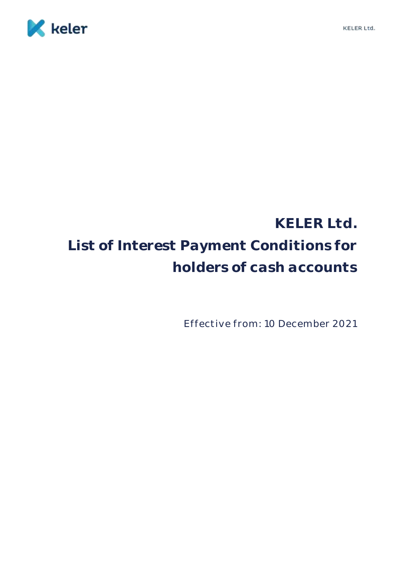

# **KELER Ltd. List of Interest Payment Conditions for holders of cash accounts**

Effective from: 10 December 2021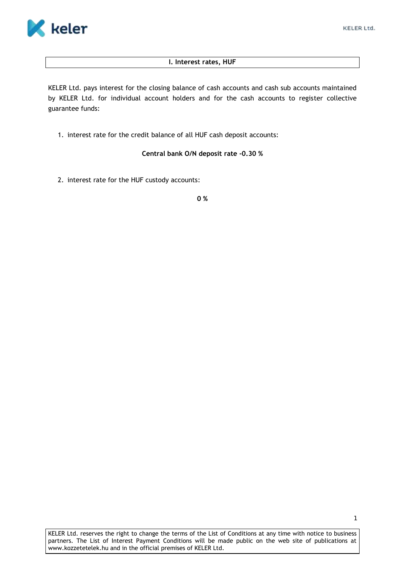

## **I. Interest rates, HUF**

KELER Ltd. pays interest for the closing balance of cash accounts and cash sub accounts maintained by KELER Ltd. for individual account holders and for the cash accounts to register collective guarantee funds:

1. interest rate for the credit balance of all HUF cash deposit accounts:

# **Central bank O/N deposit rate -0.30 %**

2. interest rate for the HUF custody accounts:

**0 %**

KELER Ltd. reserves the right to change the terms of the List of Conditions at any time with notice to business partners. The List of Interest Payment Conditions will be made public on the web site of publications at www.kozzetetelek.hu and in the official premises of KELER Ltd.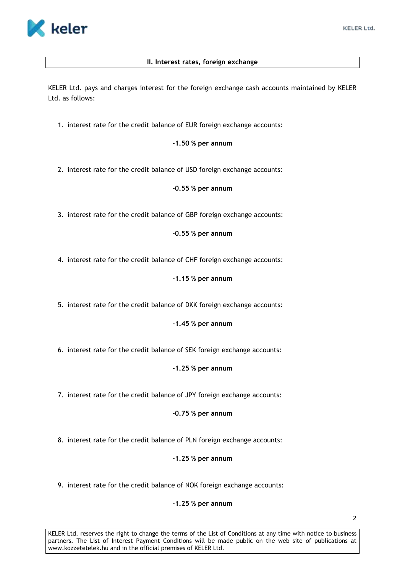

# **II. Interest rates, foreign exchange**

KELER Ltd. pays and charges interest for the foreign exchange cash accounts maintained by KELER Ltd. as follows:

1. interest rate for the credit balance of EUR foreign exchange accounts:

## **-1.50 % per annum**

2. interest rate for the credit balance of USD foreign exchange accounts:

## **-0.55 % per annum**

3. interest rate for the credit balance of GBP foreign exchange accounts:

## **-0.55 % per annum**

4. interest rate for the credit balance of CHF foreign exchange accounts:

## **-1.15 % per annum**

5. interest rate for the credit balance of DKK foreign exchange accounts:

**-1.45 % per annum**

6. interest rate for the credit balance of SEK foreign exchange accounts:

**-1.25 % per annum**

7. interest rate for the credit balance of JPY foreign exchange accounts:

**-0.75 % per annum**

8. interest rate for the credit balance of PLN foreign exchange accounts:

**-1.25 % per annum**

9. interest rate for the credit balance of NOK foreign exchange accounts:

## **-1.25 % per annum**

2

KELER Ltd. reserves the right to change the terms of the List of Conditions at any time with notice to business partners. The List of Interest Payment Conditions will be made public on the web site of publications at www.kozzetetelek.hu and in the official premises of KELER Ltd.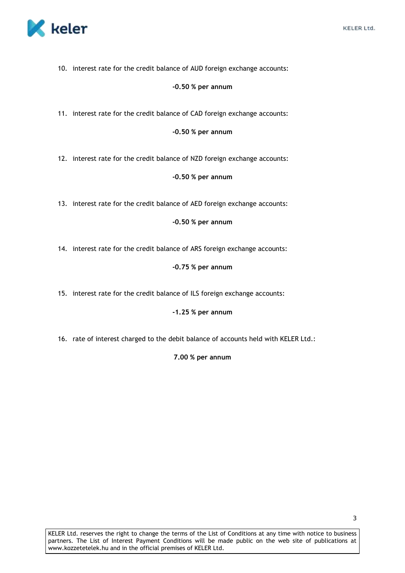

10. interest rate for the credit balance of AUD foreign exchange accounts:

## **-0.50 % per annum**

11. interest rate for the credit balance of CAD foreign exchange accounts:

#### **-0.50 % per annum**

12. interest rate for the credit balance of NZD foreign exchange accounts:

#### **-0.50 % per annum**

13. interest rate for the credit balance of AED foreign exchange accounts:

## **-0.50 % per annum**

14. interest rate for the credit balance of ARS foreign exchange accounts:

## **-0.75 % per annum**

15. interest rate for the credit balance of ILS foreign exchange accounts:

## **-1.25 % per annum**

16. rate of interest charged to the debit balance of accounts held with KELER Ltd.:

**7.00 % per annum**